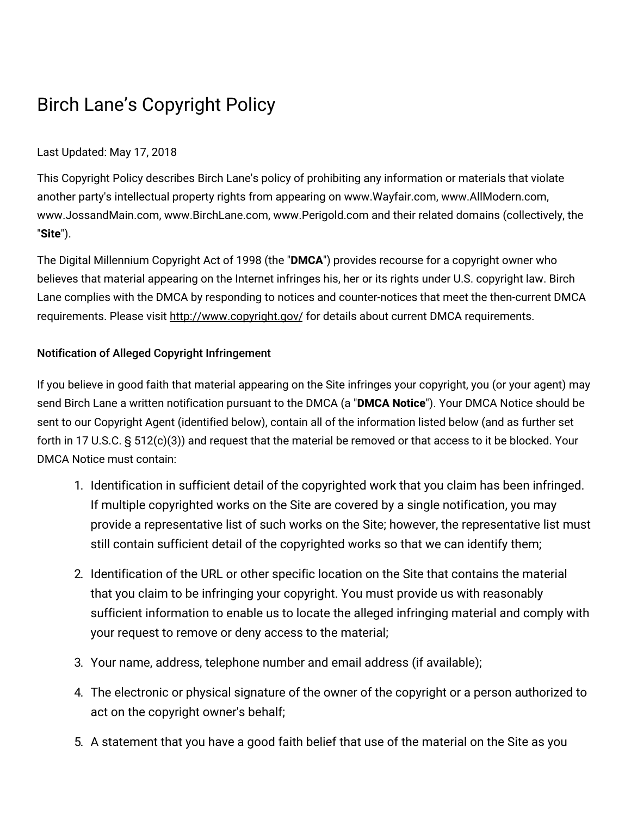## Birch Lane's Copyright Policy

## Last Updated: May 17, 2018

This Copyright Policy describes Birch Lane's policy of prohibiting any information or materials that violate another party's intellectual property rights from appearing on www.Wayfair.com, www.AllModern.com, www.JossandMain.com, www.BirchLane.com, www.Perigold.com and their related domains (collectively, the "**Site**").

The Digital Millennium Copyright Act of 1998 (the "**DMCA**") provides recourse for a copyright owner who believes that material appearing on the Internet infringes his, her or its rights under U.S. copyright law. Birch Lane complies with the DMCA by responding to notices and counter-notices that meet the then-current DMCA requirements. Please visit <http://www.copyright.gov/> for details about current DMCA requirements.

## Notification of Alleged Copyright Infringement

If you believe in good faith that material appearing on the Site infringes your copyright, you (or your agent) may send Birch Lane a written notification pursuant to the DMCA (a "**DMCA Notice**"). Your DMCA Notice should be sent to our Copyright Agent (identified below), contain all of the information listed below (and as further set forth in 17 U.S.C. § 512(c)(3)) and request that the material be removed or that access to it be blocked. Your DMCA Notice must contain:

- 1. Identification in sufficient detail of the copyrighted work that you claim has been infringed. If multiple copyrighted works on the Site are covered by a single notification, you may provide a representative list of such works on the Site; however, the representative list must still contain sufficient detail of the copyrighted works so that we can identify them;
- 2. Identification of the URL or other specific location on the Site that contains the material that you claim to be infringing your copyright. You must provide us with reasonably sufficient information to enable us to locate the alleged infringing material and comply with your request to remove or deny access to the material;
- 3. Your name, address, telephone number and email address (if available);
- 4. The electronic or physical signature of the owner of the copyright or a person authorized to act on the copyright owner's behalf;
- 5. A statement that you have a good faith belief that use of the material on the Site as you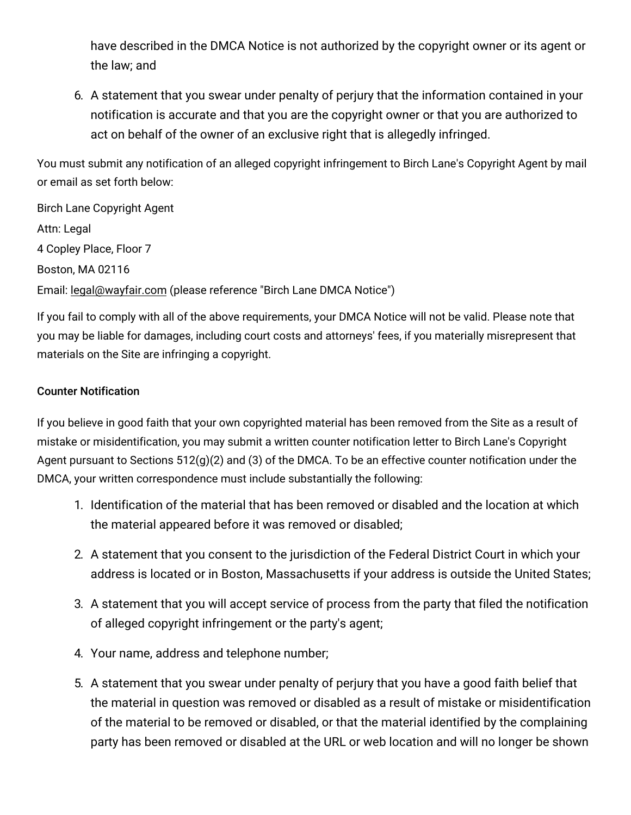have described in the DMCA Notice is not authorized by the copyright owner or its agent or the law; and

6. A statement that you swear under penalty of perjury that the information contained in your notification is accurate and that you are the copyright owner or that you are authorized to act on behalf of the owner of an exclusive right that is allegedly infringed.

You must submit any notification of an alleged copyright infringement to Birch Lane's Copyright Agent by mail or email as set forth below:

Birch Lane Copyright Agent Attn: Legal 4 Copley Place, Floor 7 Boston, MA 02116 Email: [legal@wayfair.com](mailto:legal@wayfair.com) (please reference "Birch Lane DMCA Notice")

If you fail to comply with all of the above requirements, your DMCA Notice will not be valid. Please note that you may be liable for damages, including court costs and attorneys' fees, if you materially misrepresent that materials on the Site are infringing a copyright.

## Counter Notification

If you believe in good faith that your own copyrighted material has been removed from the Site as a result of mistake or misidentification, you may submit a written counter notification letter to Birch Lane's Copyright Agent pursuant to Sections 512(g)(2) and (3) of the DMCA. To be an effective counter notification under the DMCA, your written correspondence must include substantially the following:

- 1. Identification of the material that has been removed or disabled and the location at which the material appeared before it was removed or disabled;
- 2. A statement that you consent to the jurisdiction of the Federal District Court in which your address is located or in Boston, Massachusetts if your address is outside the United States;
- 3. A statement that you will accept service of process from the party that filed the notification of alleged copyright infringement or the party's agent;
- 4. Your name, address and telephone number;
- 5. A statement that you swear under penalty of perjury that you have a good faith belief that the material in question was removed or disabled as a result of mistake or misidentification of the material to be removed or disabled, or that the material identified by the complaining party has been removed or disabled at the URL or web location and will no longer be shown